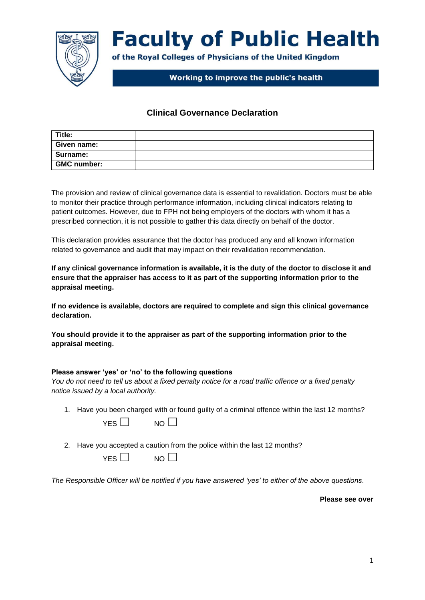

# **Faculty of Public Health**

of the Royal Colleges of Physicians of the United Kingdom

# Working to improve the public's health

### **Clinical Governance Declaration**

| Title:             |  |
|--------------------|--|
| Given name:        |  |
| Surname:           |  |
| <b>GMC number:</b> |  |

The provision and review of clinical governance data is essential to revalidation. Doctors must be able to monitor their practice through performance information, including clinical indicators relating to patient outcomes. However, due to FPH not being employers of the doctors with whom it has a prescribed connection, it is not possible to gather this data directly on behalf of the doctor.

This declaration provides assurance that the doctor has produced any and all known information related to governance and audit that may impact on their revalidation recommendation.

**If any clinical governance information is available, it is the duty of the doctor to disclose it and ensure that the appraiser has access to it as part of the supporting information prior to the appraisal meeting.** 

**If no evidence is available, doctors are required to complete and sign this clinical governance declaration.**

**You should provide it to the appraiser as part of the supporting information prior to the appraisal meeting.** 

#### **Please answer 'yes' or 'no' to the following questions**

*You do not need to tell us about a fixed penalty notice for a road traffic offence or a fixed penalty notice issued by a local authority.*

1. Have you been charged with or found guilty of a criminal offence within the last 12 months?

 $YFS \Box$  NO  $\Pi$ 

2. Have you accepted a caution from the police within the last 12 months?

 $YES \Box$  NO  $\Box$ 

*The Responsible Officer will be notified if you have answered 'yes' to either of the above questions*.

**Please see over**